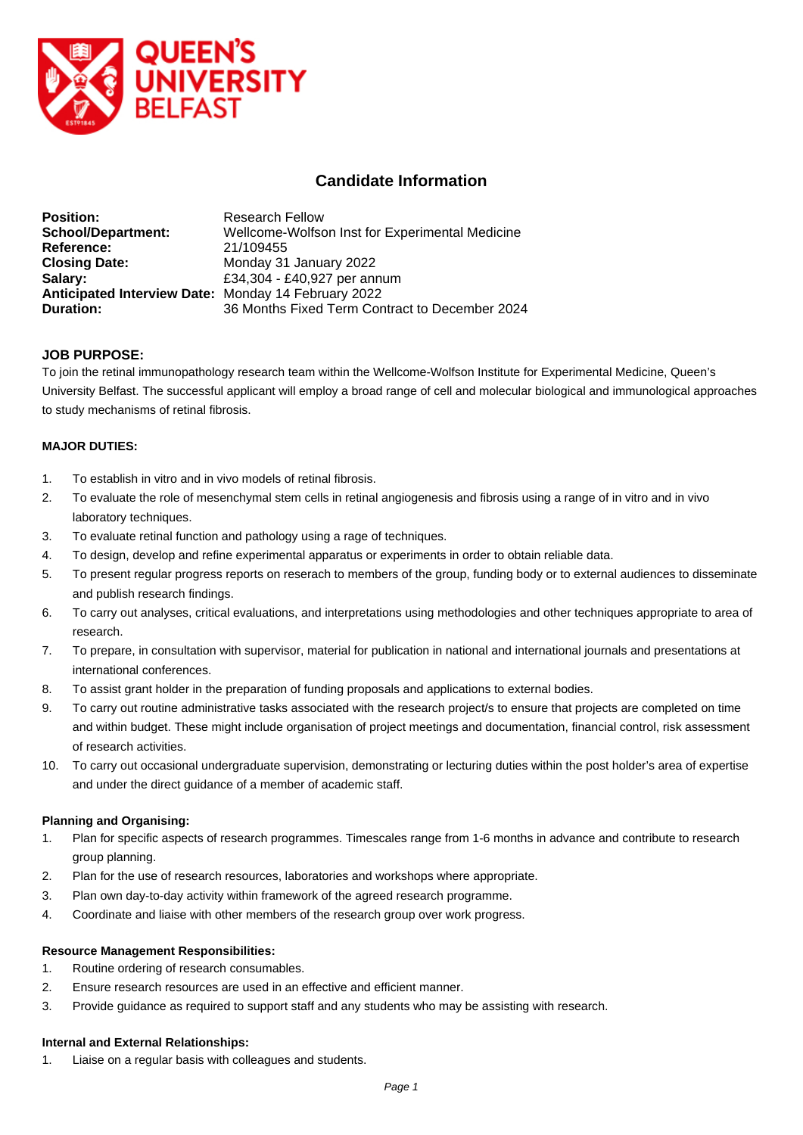

# **Candidate Information**

| <b>Position:</b>                                    | <b>Research Fellow</b>                          |
|-----------------------------------------------------|-------------------------------------------------|
| <b>School/Department:</b>                           | Wellcome-Wolfson Inst for Experimental Medicine |
| Reference:                                          | 21/109455                                       |
| <b>Closing Date:</b>                                | Monday 31 January 2022                          |
| Salary:                                             | £34,304 - £40,927 per annum                     |
| Anticipated Interview Date: Monday 14 February 2022 |                                                 |
| <b>Duration:</b>                                    | 36 Months Fixed Term Contract to December 2024  |

# **JOB PURPOSE:**

To join the retinal immunopathology research team within the Wellcome-Wolfson Institute for Experimental Medicine, Queen's University Belfast. The successful applicant will employ a broad range of cell and molecular biological and immunological approaches to study mechanisms of retinal fibrosis.

### **MAJOR DUTIES:**

- 1. To establish in vitro and in vivo models of retinal fibrosis.
- 2. To evaluate the role of mesenchymal stem cells in retinal angiogenesis and fibrosis using a range of in vitro and in vivo laboratory techniques.
- 3. To evaluate retinal function and pathology using a rage of techniques.
- 4. To design, develop and refine experimental apparatus or experiments in order to obtain reliable data.
- 5. To present regular progress reports on reserach to members of the group, funding body or to external audiences to disseminate and publish research findings.
- 6. To carry out analyses, critical evaluations, and interpretations using methodologies and other techniques appropriate to area of research.
- 7. To prepare, in consultation with supervisor, material for publication in national and international journals and presentations at international conferences.
- 8. To assist grant holder in the preparation of funding proposals and applications to external bodies.
- 9. To carry out routine administrative tasks associated with the research project/s to ensure that projects are completed on time and within budget. These might include organisation of project meetings and documentation, financial control, risk assessment of research activities.
- 10. To carry out occasional undergraduate supervision, demonstrating or lecturing duties within the post holder's area of expertise and under the direct guidance of a member of academic staff.

### **Planning and Organising:**

- 1. Plan for specific aspects of research programmes. Timescales range from 1-6 months in advance and contribute to research group planning.
- 2. Plan for the use of research resources, laboratories and workshops where appropriate.
- 3. Plan own day-to-day activity within framework of the agreed research programme.
- 4. Coordinate and liaise with other members of the research group over work progress.

### **Resource Management Responsibilities:**

- 1. Routine ordering of research consumables.
- 2. Ensure research resources are used in an effective and efficient manner.
- 3. Provide guidance as required to support staff and any students who may be assisting with research.

#### **Internal and External Relationships:**

1. Liaise on a regular basis with colleagues and students.